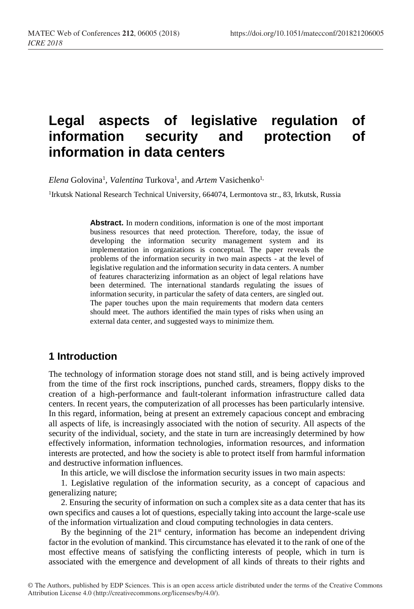# **Legal aspects of legislative regulation of information security and protection of information in data centers**

Elena Golovina<sup>1</sup>, Valentina Turkova<sup>1</sup>, and Artem Vasichenko<sup>1,</sup>

<sup>1</sup>Irkutsk National Research Technical University, 664074, Lermontova str., 83, Irkutsk, Russia

**Abstract.** In modern conditions, information is one of the most important business resources that need protection. Therefore, today, the issue of developing the information security management system and its implementation in organizations is conceptual. The paper reveals the problems of the information security in two main aspects - at the level of legislative regulation and the information security in data centers. A number of features characterizing information as an object of legal relations have been determined. The international standards regulating the issues of information security, in particular the safety of data centers, are singled out. The paper touches upon the main requirements that modern data centers should meet. The authors identified the main types of risks when using an external data center, and suggested ways to minimize them.

## **1 Introduction**

The technology of information storage does not stand still, and is being actively improved from the time of the first rock inscriptions, punched cards, streamers, floppy disks to the creation of a high-performance and fault-tolerant information infrastructure called data centers. In recent years, the computerization of all processes has been particularly intensive. In this regard, information, being at present an extremely capacious concept and embracing all aspects of life, is increasingly associated with the notion of security. All aspects of the security of the individual, society, and the state in turn are increasingly determined by how effectively information, information technologies, information resources, and information interests are protected, and how the society is able to protect itself from harmful information and destructive information influences.

In this article, we will disclose the information security issues in two main aspects:

1. Legislative regulation of the information security, as a concept of capacious and generalizing nature;

2. Ensuring the security of information on such a complex site as a data center that has its own specifics and causes a lot of questions, especially taking into account the large-scale use of the information virtualization and cloud computing technologies in data centers.

By the beginning of the  $21<sup>st</sup>$  century, information has become an independent driving factor in the evolution of mankind. This circumstance has elevated it to the rank of one of the most effective means of satisfying the conflicting interests of people, which in turn is associated with the emergence and development of all kinds of threats to their rights and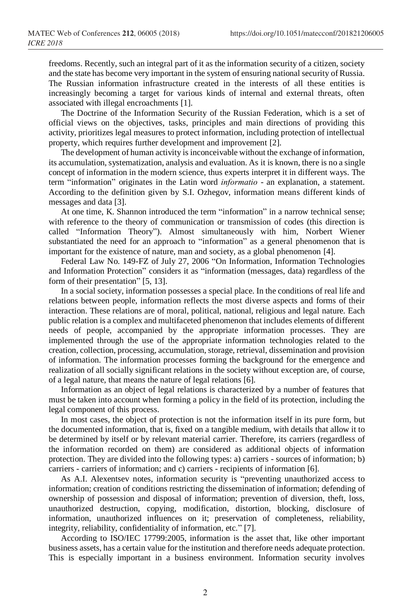freedoms. Recently, such an integral part of it as the information security of a citizen, society and the state has become very important in the system of ensuring national security of Russia. The Russian information infrastructure created in the interests of all these entities is increasingly becoming a target for various kinds of internal and external threats, often associated with illegal encroachments [1].

The Doctrine of the Information Security of the Russian Federation, which is a set of official views on the objectives, tasks, principles and main directions of providing this activity, prioritizes legal measures to protect information, including protection of intellectual property, which requires further development and improvement [2].

The development of human activity is inconceivable without the exchange of information, its accumulation, systematization, analysis and evaluation. As it is known, there is no a single concept of information in the modern science, thus experts interpret it in different ways. The term "information" originates in the Latin word *iпforтatio* - an explanation, a statement. According to the definition given by S.I. Ozhegov, information means different kinds of messages and data [3].

At one time, K. Shannon introduced the term "information" in a narrow technical sense; with reference to the theory of communication or transmission of codes (this direction is called "Information Theory"). Almost simultaneously with him, Norbert Wiener substantiated the need for an approach to "information" as a general phenomenon that is important for the existence of nature, man and society, as a global phenomenon [4].

Federal Law No. 149-FZ of July 27, 2006 "On Information, Information Technologies and Information Protection" considers it as "information (messages, data) regardless of the form of their presentation" [5, 13].

In a social society, information possesses a special place. In the conditions of real life and relations between people, information reflects the most diverse aspects and forms of their interaction. These relations are of moral, political, national, religious and legal nature. Each public relation is a complex and multifaceted phenomenon that includes elements of different needs of people, accompanied by the appropriate information processes. They are implemented through the use of the appropriate information technologies related to the creation, collection, processing, accumulation, storage, retrieval, dissemination and provision of information. The information processes forming the background for the emergence and realization of all socially significant relations in the society without exception are, of course, of a legal nature, that means the nature of legal relations [6].

Information as an object of legal relations is characterized by a number of features that must be taken into account when forming a policy in the field of its protection, including the legal component of this process.

In most cases, the object of protection is not the information itself in its pure form, but the documented information, that is, fixed on a tangible medium, with details that allow it to be determined by itself or by relevant material carrier. Therefore, its carriers (regardless of the information recorded on them) are considered as additional objects of information protection. They are divided into the following types: a) carriers - sources of information; b) carriers - carriers of information; and c) carriers - recipients of information [6].

As A.I. Alexentsev notes, information security is "preventing unauthorized access to information; creation of conditions restricting the dissemination of information; defending of ownership of possession and disposal of information; prevention of diversion, theft, loss, unauthorized destruction, copying, modification, distortion, blocking, disclosure of information, unauthorized influences on it; preservation of completeness, reliability, integrity, reliability, confidentiality of information, etc." [7].

According to ISO/IEC 17799:2005, information is the asset that, like other important business assets, has a certain value for the institution and therefore needs adequate protection. This is especially important in a business environment. Information security involves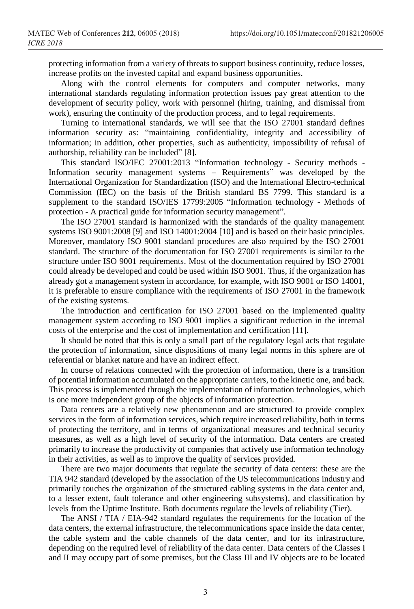protecting information from a variety of threats to support business continuity, reduce losses, increase profits on the invested capital and expand business opportunities.

Along with the control elements for computers and computer networks, many international standards regulating information protection issues pay great attention to the development of security policy, work with personnel (hiring, training, and dismissal from work), ensuring the continuity of the production process, and to legal requirements.

Turning to international standards, we will see that the ISO 27001 standard defines information security as: "maintaining confidentiality, integrity and accessibility of information; in addition, other properties, such as authenticity, impossibility of refusal of authorship, reliability can be included" [8].

This standard ISO/IEC 27001:2013 "Information technology - Security methods - Information security management systems – Requirements" was developed by the International Organization for Standardization (ISO) and the International Electro-technical Commission (IEC) on the basis of the British standard BS 7799. This standard is a supplement to the standard ISO/IES 17799:2005 "Information technology - Methods of protection - A practical guide for information security management".

The ISO 27001 standard is harmonized with the standards of the quality management systems ISO 9001:2008 [9] and ISO 14001:2004 [10] and is based on their basic principles. Moreover, mandatory ISO 9001 standard procedures are also required by the ISO 27001 standard. The structure of the documentation for ISO 27001 requirements is similar to the structure under ISO 9001 requirements. Most of the documentation required by ISO 27001 could already be developed and could be used within ISO 9001. Thus, if the organization has already got a management system in accordance, for example, with ISO 9001 or ISO 14001, it is preferable to ensure compliance with the requirements of ISO 27001 in the framework of the existing systems.

The introduction and certification for ISO 27001 based on the implemented quality management system according to ISO 9001 implies a significant reduction in the internal costs of the enterprise and the cost of implementation and certification [11].

It should be noted that this is only a small part of the regulatory legal acts that regulate the protection of information, since dispositions of many legal norms in this sphere are of referential or blanket nature and have an indirect effect.

In course of relations connected with the protection of information, there is a transition of potential information accumulated on the appropriate carriers, to the kinetic one, and back. This process is implemented through the implementation of information technologies, which is one more independent group of the objects of information protection.

Data centers are a relatively new phenomenon and are structured to provide complex services in the form of information services, which require increased reliability, both in terms of protecting the territory, and in terms of organizational measures and technical security measures, as well as a high level of security of the information. Data centers are created primarily to increase the productivity of companies that actively use information technology in their activities, as well as to improve the quality of services provided.

There are two major documents that regulate the security of data centers: these are the TIA 942 standard (developed by the association of the US telecommunications industry and primarily touches the organization of the structured cabling systems in the data center and, to a lesser extent, fault tolerance and other engineering subsystems), and classification by levels from the Uptime Institute. Both documents regulate the levels of reliability (Tier).

The ANSI / TIA / EIA-942 standard regulates the requirements for the location of the data centers, the external infrastructure, the telecommunications space inside the data center, the cable system and the cable channels of the data center, and for its infrastructure, depending on the required level of reliability of the data center. Data centers of the Classes I and II may occupy part of some premises, but the Class III and IV objects are to be located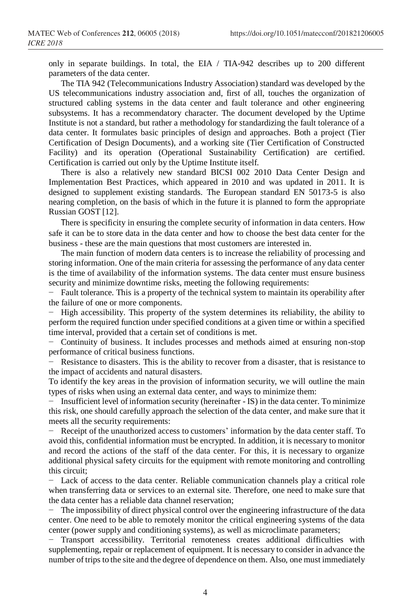only in separate buildings. In total, the EIA / TIA-942 describes up to 200 different parameters of the data center.

The TIA 942 (Telecommunications Industry Association) standard was developed by the US telecommunications industry association and, first of all, touches the organization of structured cabling systems in the data center and fault tolerance and other engineering subsystems. It has a recommendatory character. The document developed by the Uptime Institute is not a standard, but rather a methodology for standardizing the fault tolerance of a data center. It formulates basic principles of design and approaches. Both a project (Tier Certification of Design Documents), and a working site (Tier Certification of Constructed Facility) and its operation (Operational Sustainability Certification) are certified. Certification is carried out only by the Uptime Institute itself.

There is also a relatively new standard BICSI 002 2010 Data Center Design and Implementation Best Practices, which appeared in 2010 and was updated in 2011. It is designed to supplement existing standards. The European standard EN 50173-5 is also nearing completion, on the basis of which in the future it is planned to form the appropriate Russian GOST [12].

There is specificity in ensuring the complete security of information in data centers. How safe it can be to store data in the data center and how to choose the best data center for the business - these are the main questions that most customers are interested in.

The main function of modern data centers is to increase the reliability of processing and storing information. One of the main criteria for assessing the performance of any data center is the time of availability of the information systems. The data center must ensure business security and minimize downtime risks, meeting the following requirements:

− Fault tolerance. This is a property of the technical system to maintain its operability after the failure of one or more components.

− High accessibility. This property of the system determines its reliability, the ability to perform the required function under specified conditions at a given time or within a specified time interval, provided that a certain set of conditions is met.

− Continuity of business. It includes processes and methods aimed at ensuring non-stop performance of critical business functions.

Resistance to disasters. This is the ability to recover from a disaster, that is resistance to the impact of accidents and natural disasters.

To identify the key areas in the provision of information security, we will outline the main types of risks when using an external data center, and ways to minimize them:

− Insufficient level of information security (hereinafter - IS) in the data center. To minimize this risk, one should carefully approach the selection of the data center, and make sure that it meets all the security requirements:

− Receipt of the unauthorized access to customers' information by the data center staff. To avoid this, confidential information must be encrypted. In addition, it is necessary to monitor and record the actions of the staff of the data center. For this, it is necessary to organize additional physical safety circuits for the equipment with remote monitoring and controlling this circuit;

− Lack of access to the data center. Reliable communication channels play a critical role when transferring data or services to an external site. Therefore, one need to make sure that the data center has a reliable data channel reservation;

− The impossibility of direct physical control over the engineering infrastructure of the data center. One need to be able to remotely monitor the critical engineering systems of the data center (power supply and conditioning systems), as well as microclimate parameters;

− Transport accessibility. Territorial remoteness creates additional difficulties with supplementing, repair or replacement of equipment. It is necessary to consider in advance the number of trips to the site and the degree of dependence on them. Also, one must immediately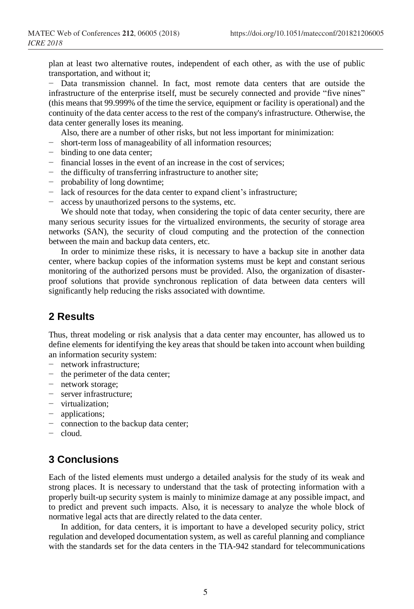plan at least two alternative routes, independent of each other, as with the use of public transportation, and without it;

− Data transmission channel. In fact, most remote data centers that are outside the infrastructure of the enterprise itself, must be securely connected and provide "five nines" (this means that 99.999% of the time the service, equipment or facility is operational) and the continuity of the data center access to the rest of the company's infrastructure. Otherwise, the data center generally loses its meaning.

Also, there are a number of other risks, but not less important for minimization:

- − short-term loss of manageability of all information resources;
- − binding to one data center;
- − financial losses in the event of an increase in the cost of services;
- − the difficulty of transferring infrastructure to another site;
- − probability of long downtime;
- − lack of resources for the data center to expand client's infrastructure;
- − access by unauthorized persons to the systems, etc.

We should note that today, when considering the topic of data center security, there are many serious security issues for the virtualized environments, the security of storage area networks (SAN), the security of cloud computing and the protection of the connection between the main and backup data centers, etc.

In order to minimize these risks, it is necessary to have a backup site in another data center, where backup copies of the information systems must be kept and constant serious monitoring of the authorized persons must be provided. Also, the organization of disasterproof solutions that provide synchronous replication of data between data centers will significantly help reducing the risks associated with downtime.

## **2 Results**

Thus, threat modeling or risk analysis that a data center may encounter, has allowed us to define elements for identifying the key areas that should be taken into account when building an information security system:

- − network infrastructure;
- − the perimeter of the data center;
- − network storage;
- − server infrastructure;
- − virtualization;
- − applications;
- − connection to the backup data center;
- − cloud.

## **3 Conclusions**

Each of the listed elements must undergo a detailed analysis for the study of its weak and strong places. It is necessary to understand that the task of protecting information with a properly built-up security system is mainly to minimize damage at any possible impact, and to predict and prevent such impacts. Also, it is necessary to analyze the whole block of normative legal acts that are directly related to the data center.

In addition, for data centers, it is important to have a developed security policy, strict regulation and developed documentation system, as well as careful planning and compliance with the standards set for the data centers in the TIA-942 standard for telecommunications